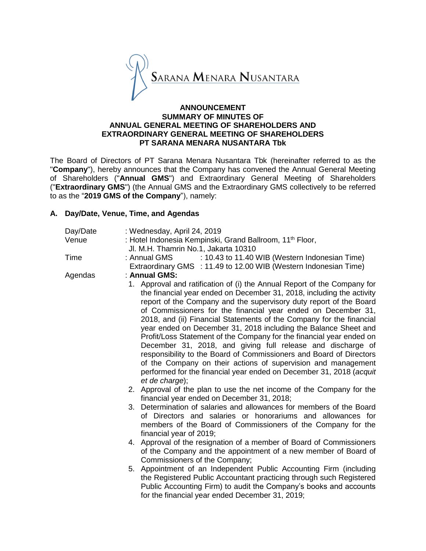

### **ANNOUNCEMENT SUMMARY OF MINUTES OF ANNUAL GENERAL MEETING OF SHAREHOLDERS AND EXTRAORDINARY GENERAL MEETING OF SHAREHOLDERS PT SARANA MENARA NUSANTARA Tbk**

The Board of Directors of PT Sarana Menara Nusantara Tbk (hereinafter referred to as the "**Company**"), hereby announces that the Company has convened the Annual General Meeting of Shareholders ("**Annual GMS**") and Extraordinary General Meeting of Shareholders ("**Extraordinary GMS**") (the Annual GMS and the Extraordinary GMS collectively to be referred to as the "**2019 GMS of the Company**"), namely:

## **A. Day/Date, Venue, Time, and Agendas**

| Day/Date | : Wednesday, April 24, 2019                                                                                                                                                                                                                                       |  |  |  |  |
|----------|-------------------------------------------------------------------------------------------------------------------------------------------------------------------------------------------------------------------------------------------------------------------|--|--|--|--|
| Venue    | : Hotel Indonesia Kempinski, Grand Ballroom, 11 <sup>th</sup> Floor,                                                                                                                                                                                              |  |  |  |  |
|          | Jl. M.H. Thamrin No.1, Jakarta 10310                                                                                                                                                                                                                              |  |  |  |  |
| Time     | : 10.43 to 11.40 WIB (Western Indonesian Time)<br>: Annual GMS                                                                                                                                                                                                    |  |  |  |  |
|          | Extraordinary GMS : 11.49 to 12.00 WIB (Western Indonesian Time)                                                                                                                                                                                                  |  |  |  |  |
| Agendas  | : Annual GMS:                                                                                                                                                                                                                                                     |  |  |  |  |
|          | 1. Approval and ratification of (i) the Annual Report of the Company for<br>the financial year ended on December 31, 2018, including the activity<br>report of the Company and the supervisory duty report of the Board                                           |  |  |  |  |
|          | of Commissioners for the financial year ended on December 31,                                                                                                                                                                                                     |  |  |  |  |
|          | 2018, and (ii) Financial Statements of the Company for the financial<br>year ended on December 31, 2018 including the Balance Sheet and                                                                                                                           |  |  |  |  |
|          | Profit/Loss Statement of the Company for the financial year ended on<br>December 31, 2018, and giving full release and discharge of                                                                                                                               |  |  |  |  |
|          | responsibility to the Board of Commissioners and Board of Directors                                                                                                                                                                                               |  |  |  |  |
|          | of the Company on their actions of supervision and management<br>performed for the financial year ended on December 31, 2018 (acquit<br>et de charge);                                                                                                            |  |  |  |  |
|          | 2. Approval of the plan to use the net income of the Company for the<br>financial year ended on December 31, 2018;                                                                                                                                                |  |  |  |  |
|          | 3. Determination of salaries and allowances for members of the Board<br>of Directors and salaries or honorariums and allowances for<br>members of the Board of Commissioners of the Company for the<br>financial year of 2019;                                    |  |  |  |  |
|          | 4. Approval of the resignation of a member of Board of Commissioners<br>of the Company and the appointment of a new member of Board of<br>Commissioners of the Company;                                                                                           |  |  |  |  |
|          | 5. Appointment of an Independent Public Accounting Firm (including<br>the Registered Public Accountant practicing through such Registered<br>Public Accounting Firm) to audit the Company's books and accounts<br>for the financial year ended December 31, 2019; |  |  |  |  |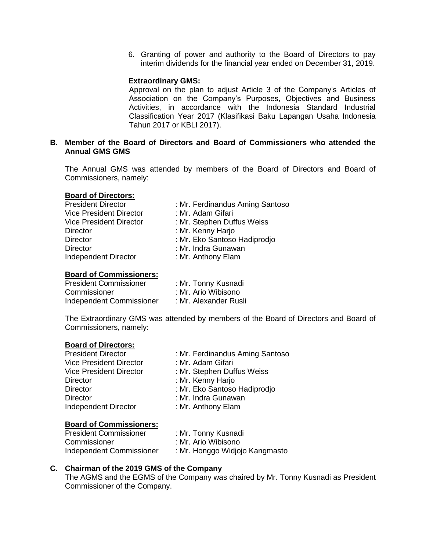6. Granting of power and authority to the Board of Directors to pay interim dividends for the financial year ended on December 31, 2019.

### **Extraordinary GMS:**

Approval on the plan to adjust Article 3 of the Company's Articles of Association on the Company's Purposes, Objectives and Business Activities, in accordance with the Indonesia Standard Industrial Classification Year 2017 (Klasifikasi Baku Lapangan Usaha Indonesia Tahun 2017 or KBLI 2017).

### **B. Member of the Board of Directors and Board of Commissioners who attended the Annual GMS GMS**

The Annual GMS was attended by members of the Board of Directors and Board of Commissioners, namely:

#### **Board of Directors:**

| <b>President Director</b>      | : Mr. Ferdinandus Aming Santoso |
|--------------------------------|---------------------------------|
| <b>Vice President Director</b> | : Mr. Adam Gifari               |
| <b>Vice President Director</b> | : Mr. Stephen Duffus Weiss      |
| <b>Director</b>                | : Mr. Kenny Harjo               |
| <b>Director</b>                | : Mr. Eko Santoso Hadiprodjo    |
| <b>Director</b>                | : Mr. Indra Gunawan             |
| <b>Independent Director</b>    | : Mr. Anthony Elam              |
|                                |                                 |

### **Board of Commissioners:**

| <b>President Commissioner</b> | : Mr. Tonny Kusnadi   |
|-------------------------------|-----------------------|
| Commissioner                  | : Mr. Ario Wibisono   |
| Independent Commissioner      | : Mr. Alexander Rusli |

The Extraordinary GMS was attended by members of the Board of Directors and Board of Commissioners, namely:

#### **Board of Directors:**

| <b>President Director</b>      | : Mr. Ferdinandus Aming Santoso |  |  |
|--------------------------------|---------------------------------|--|--|
| <b>Vice President Director</b> | : Mr. Adam Gifari               |  |  |
| <b>Vice President Director</b> | : Mr. Stephen Duffus Weiss      |  |  |
| <b>Director</b>                | : Mr. Kenny Harjo               |  |  |
| <b>Director</b>                | : Mr. Eko Santoso Hadiprodjo    |  |  |
| <b>Director</b>                | : Mr. Indra Gunawan             |  |  |
| <b>Independent Director</b>    | : Mr. Anthony Elam              |  |  |

#### **Board of Commissioners:**

| <b>President Commissioner</b> | : Mr. Tonny Kusnadi            |
|-------------------------------|--------------------------------|
| Commissioner                  | : Mr. Ario Wibisono            |
| Independent Commissioner      | : Mr. Honggo Widjojo Kangmasto |

### **C. Chairman of the 2019 GMS of the Company**

The AGMS and the EGMS of the Company was chaired by Mr. Tonny Kusnadi as President Commissioner of the Company.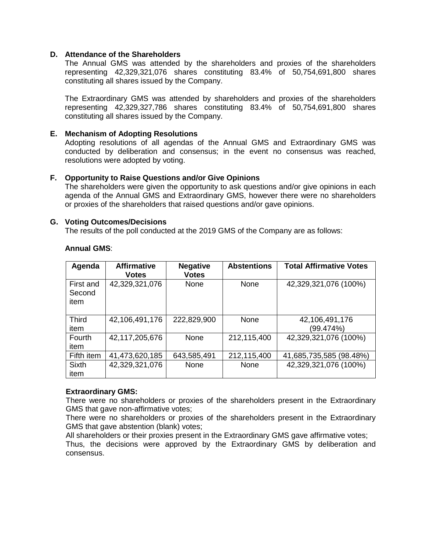### **D. Attendance of the Shareholders**

The Annual GMS was attended by the shareholders and proxies of the shareholders representing 42,329,321,076 shares constituting 83.4% of 50,754,691,800 shares constituting all shares issued by the Company.

The Extraordinary GMS was attended by shareholders and proxies of the shareholders representing 42,329,327,786 shares constituting 83.4% of 50,754,691,800 shares constituting all shares issued by the Company.

### **E. Mechanism of Adopting Resolutions**

Adopting resolutions of all agendas of the Annual GMS and Extraordinary GMS was conducted by deliberation and consensus; in the event no consensus was reached, resolutions were adopted by voting.

### **F. Opportunity to Raise Questions and/or Give Opinions**

The shareholders were given the opportunity to ask questions and/or give opinions in each agenda of the Annual GMS and Extraordinary GMS, however there were no shareholders or proxies of the shareholders that raised questions and/or gave opinions.

### **G. Voting Outcomes/Decisions**

The results of the poll conducted at the 2019 GMS of the Company are as follows:

| Agenda                      | <b>Affirmative</b><br><b>Votes</b> | <b>Negative</b><br><b>Votes</b> | <b>Abstentions</b> | <b>Total Affirmative Votes</b> |
|-----------------------------|------------------------------------|---------------------------------|--------------------|--------------------------------|
| First and<br>Second<br>item | 42,329,321,076                     | None                            | None               | 42,329,321,076 (100%)          |
| <b>Third</b><br>item        | 42,106,491,176                     | 222,829,900                     | None               | 42,106,491,176<br>(99.474%)    |
| <b>Fourth</b><br>item       | 42,117,205,676                     | <b>None</b>                     | 212,115,400        | 42,329,321,076 (100%)          |
| Fifth item                  | 41,473,620,185                     | 643,585,491                     | 212,115,400        | 41,685,735,585 (98.48%)        |
| <b>Sixth</b><br>item        | 42,329,321,076                     | None                            | None               | 42,329,321,076 (100%)          |

### **Annual GMS**:

### **Extraordinary GMS:**

There were no shareholders or proxies of the shareholders present in the Extraordinary GMS that gave non-affirmative votes;

There were no shareholders or proxies of the shareholders present in the Extraordinary GMS that gave abstention (blank) votes;

All shareholders or their proxies present in the Extraordinary GMS gave affirmative votes;

Thus, the decisions were approved by the Extraordinary GMS by deliberation and consensus.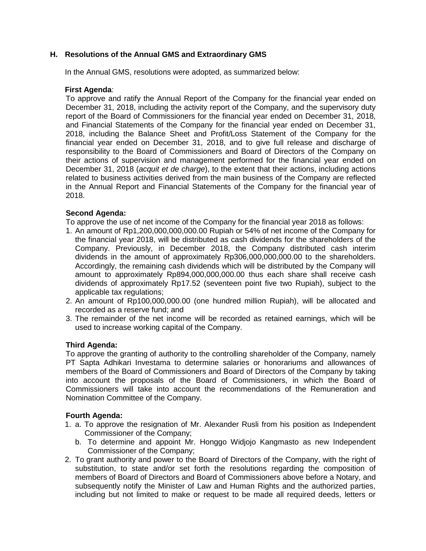# **H. Resolutions of the Annual GMS and Extraordinary GMS**

In the Annual GMS, resolutions were adopted, as summarized below:

### **First Agenda**:

To approve and ratify the Annual Report of the Company for the financial year ended on December 31, 2018, including the activity report of the Company, and the supervisory duty report of the Board of Commissioners for the financial year ended on December 31, 2018, and Financial Statements of the Company for the financial year ended on December 31, 2018, including the Balance Sheet and Profit/Loss Statement of the Company for the financial year ended on December 31, 2018, and to give full release and discharge of responsibility to the Board of Commissioners and Board of Directors of the Company on their actions of supervision and management performed for the financial year ended on December 31, 2018 (*acquit et de charge*), to the extent that their actions, including actions related to business activities derived from the main business of the Company are reflected in the Annual Report and Financial Statements of the Company for the financial year of 2018.

## **Second Agenda:**

To approve the use of net income of the Company for the financial year 2018 as follows:

- 1. An amount of Rp1,200,000,000,000.00 Rupiah or 54% of net income of the Company for the financial year 2018, will be distributed as cash dividends for the shareholders of the Company. Previously, in December 2018, the Company distributed cash interim dividends in the amount of approximately Rp306,000,000,000.00 to the shareholders. Accordingly, the remaining cash dividends which will be distributed by the Company will amount to approximately Rp894,000,000,000.00 thus each share shall receive cash dividends of approximately Rp17.52 (seventeen point five two Rupiah), subject to the applicable tax regulations;
- 2. An amount of Rp100,000,000.00 (one hundred million Rupiah), will be allocated and recorded as a reserve fund; and
- 3. The remainder of the net income will be recorded as retained earnings, which will be used to increase working capital of the Company.

## **Third Agenda:**

To approve the granting of authority to the controlling shareholder of the Company, namely PT Sapta Adhikari Investama to determine salaries or honorariums and allowances of members of the Board of Commissioners and Board of Directors of the Company by taking into account the proposals of the Board of Commissioners, in which the Board of Commissioners will take into account the recommendations of the Remuneration and Nomination Committee of the Company.

### **Fourth Agenda:**

- 1. a. To approve the resignation of Mr. Alexander Rusli from his position as Independent Commissioner of the Company;
	- b. To determine and appoint Mr. Honggo Widjojo Kangmasto as new Independent Commissioner of the Company;
- 2. To grant authority and power to the Board of Directors of the Company, with the right of substitution, to state and/or set forth the resolutions regarding the composition of members of Board of Directors and Board of Commissioners above before a Notary, and subsequently notify the Minister of Law and Human Rights and the authorized parties, including but not limited to make or request to be made all required deeds, letters or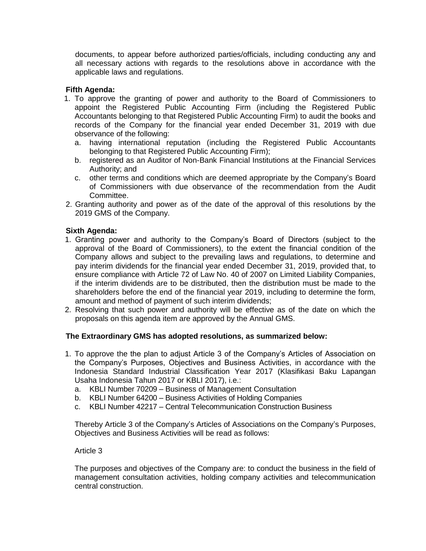documents, to appear before authorized parties/officials, including conducting any and all necessary actions with regards to the resolutions above in accordance with the applicable laws and regulations.

# **Fifth Agenda:**

- 1. To approve the granting of power and authority to the Board of Commissioners to appoint the Registered Public Accounting Firm (including the Registered Public Accountants belonging to that Registered Public Accounting Firm) to audit the books and records of the Company for the financial year ended December 31, 2019 with due observance of the following:
	- a. having international reputation (including the Registered Public Accountants belonging to that Registered Public Accounting Firm);
	- b. registered as an Auditor of Non-Bank Financial Institutions at the Financial Services Authority; and
	- c. other terms and conditions which are deemed appropriate by the Company's Board of Commissioners with due observance of the recommendation from the Audit Committee.
- 2. Granting authority and power as of the date of the approval of this resolutions by the 2019 GMS of the Company.

## **Sixth Agenda:**

- 1. Granting power and authority to the Company's Board of Directors (subject to the approval of the Board of Commissioners), to the extent the financial condition of the Company allows and subject to the prevailing laws and regulations, to determine and pay interim dividends for the financial year ended December 31, 2019, provided that, to ensure compliance with Article 72 of Law No. 40 of 2007 on Limited Liability Companies, if the interim dividends are to be distributed, then the distribution must be made to the shareholders before the end of the financial year 2019, including to determine the form, amount and method of payment of such interim dividends;
- 2. Resolving that such power and authority will be effective as of the date on which the proposals on this agenda item are approved by the Annual GMS.

## **The Extraordinary GMS has adopted resolutions, as summarized below:**

- 1. To approve the the plan to adjust Article 3 of the Company's Articles of Association on the Company's Purposes, Objectives and Business Activities, in accordance with the Indonesia Standard Industrial Classification Year 2017 (Klasifikasi Baku Lapangan Usaha Indonesia Tahun 2017 or KBLI 2017), i.e.:
	- a. KBLI Number 70209 Business of Management Consultation
	- b. KBLI Number 64200 Business Activities of Holding Companies
	- c. KBLI Number 42217 Central Telecommunication Construction Business

Thereby Article 3 of the Company's Articles of Associations on the Company's Purposes, Objectives and Business Activities will be read as follows:

## Article 3

The purposes and objectives of the Company are: to conduct the business in the field of management consultation activities, holding company activities and telecommunication central construction.